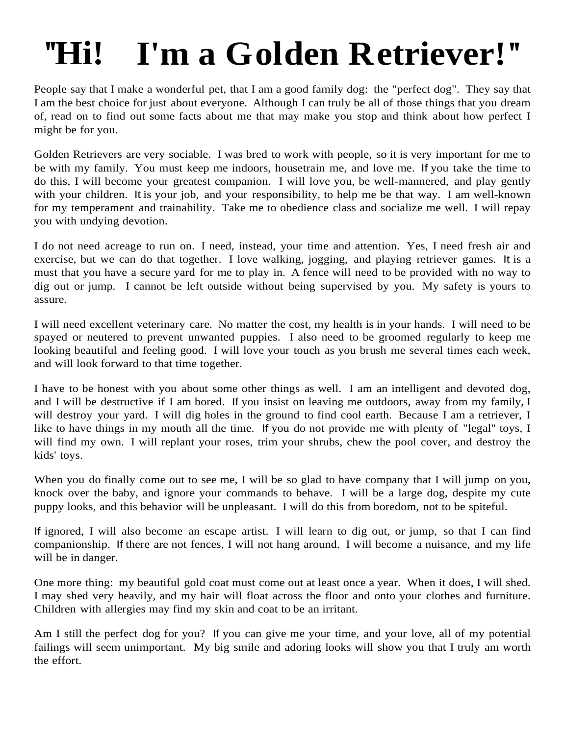## **''Hi! I'm a Golden Retriever!''**

People say that I make a wonderful pet, that I am a good family dog: the "perfect dog". They say that I am the best choice for just about everyone. Although I can truly be all of those things that you dream of, read on to find out some facts about me that may make you stop and think about how perfect I might be for you.

Golden Retrievers are very sociable. I was bred to work with people, so it is very important for me to be with my family. You must keep me indoors, housetrain me, and love me. If you take the time to do this, I will become your greatest companion. I will love you, be well-mannered, and play gently with your children. It is your job, and your responsibility, to help me be that way. I am well-known for my temperament and trainability. Take me to obedience class and socialize me well. I will repay you with undying devotion.

I do not need acreage to run on. I need, instead, your time and attention. Yes, I need fresh air and exercise, but we can do that together. I love walking, jogging, and playing retriever games. It is a must that you have a secure yard for me to play in. A fence will need to be provided with no way to dig out or jump. I cannot be left outside without being supervised by you. My safety is yours to assure.

I will need excellent veterinary care. No matter the cost, my health is in your hands. I will need to be spayed or neutered to prevent unwanted puppies. I also need to be groomed regularly to keep me looking beautiful and feeling good. I will love your touch as you brush me several times each week, and will look forward to that time together.

I have to be honest with you about some other things as well. I am an intelligent and devoted dog, and I will be destructive if I am bored. If you insist on leaving me outdoors, away from my family, I will destroy your yard. I will dig holes in the ground to find cool earth. Because I am a retriever, I like to have things in my mouth all the time. If you do not provide me with plenty of "legal" toys, I will find my own. I will replant your roses, trim your shrubs, chew the pool cover, and destroy the kids' toys.

When you do finally come out to see me, I will be so glad to have company that I will jump on you, knock over the baby, and ignore your commands to behave. I will be a large dog, despite my cute puppy looks, and this behavior will be unpleasant. I will do this from boredom, not to be spiteful.

If ignored, I will also become an escape artist. I will learn to dig out, or jump, so that I can find companionship. If there are not fences, I will not hang around. I will become a nuisance, and my life will be in danger.

One more thing: my beautiful gold coat must come out at least once a year. When it does, I will shed. I may shed very heavily, and my hair will float across the floor and onto your clothes and furniture. Children with allergies may find my skin and coat to be an irritant.

Am I still the perfect dog for you? If you can give me your time, and your love, all of my potential failings will seem unimportant. My big smile and adoring looks will show you that I truly am worth the effort.